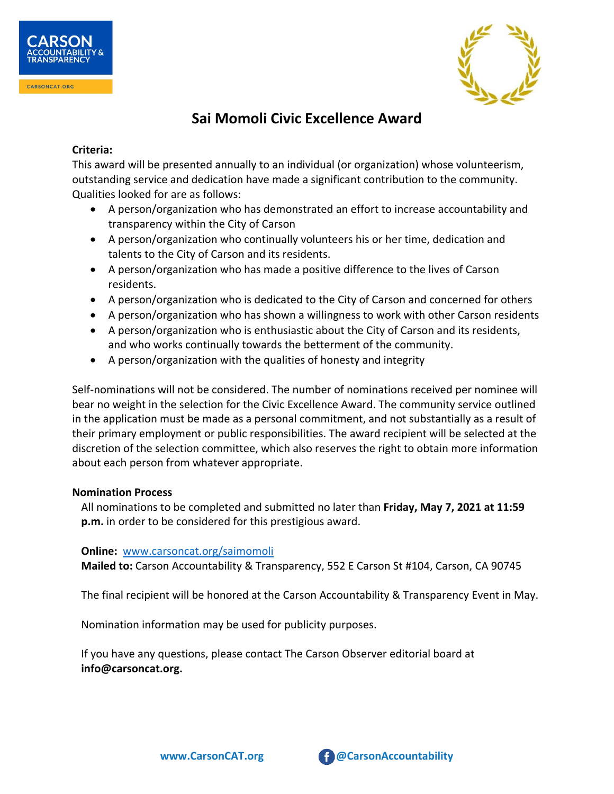



# **Sai Momoli Civic Excellence Award**

### **Criteria:**

This award will be presented annually to an individual (or organization) whose volunteerism, outstanding service and dedication have made a significant contribution to the community. Qualities looked for are as follows:

- A person/organization who has demonstrated an effort to increase accountability and transparency within the City of Carson
- A person/organization who continually volunteers his or her time, dedication and talents to the City of Carson and its residents.
- A person/organization who has made a positive difference to the lives of Carson residents.
- A person/organization who is dedicated to the City of Carson and concerned for others
- A person/organization who has shown a willingness to work with other Carson residents
- A person/organization who is enthusiastic about the City of Carson and its residents, and who works continually towards the betterment of the community.
- A person/organization with the qualities of honesty and integrity

Self-nominations will not be considered. The number of nominations received per nominee will bear no weight in the selection for the Civic Excellence Award. The community service outlined in the application must be made as a personal commitment, and not substantially as a result of their primary employment or public responsibilities. The award recipient will be selected at the discretion of the selection committee, which also reserves the right to obtain more information about each person from whatever appropriate.

# **Nomination Process**

All nominations to be completed and submitted no later than **Friday, May 7, 2021 at 11:59 p.m.** in order to be considered for this prestigious award.

# **Online:** [www.carsoncat.org/saimomoli](http://www.carsoncat.org/saimomoli)

**Mailed to:** Carson Accountability & Transparency, 552 E Carson St #104, Carson, CA 90745

The final recipient will be honored at the Carson Accountability & Transparency Event in May.

Nomination information may be used for publicity purposes.

If you have any questions, please contact The Carson Observer editorial board at **info@carsoncat.org.**